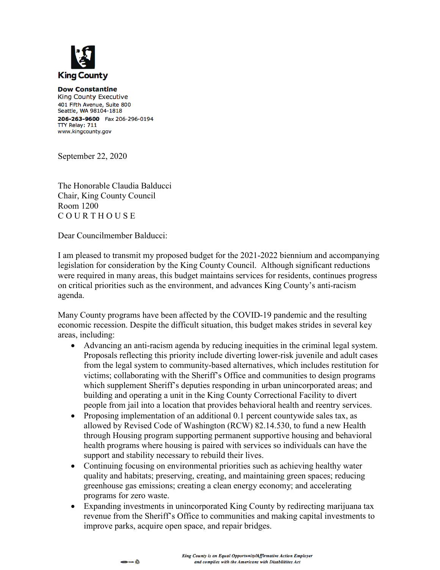

**Dow Constantine** King County Executive 401 Fifth Avenue, Suite 800 Seattle, WA 98104-1818 206-263-9600 Fax 206-296-0194 TTY Relay: 711 www.kingcounty.gov

September 22, 2020

The Honorable Claudia Balducci Chair, King County Council Room 1200 C O U R T H O U S E

Dear Councilmember Balducci:

I am pleased to transmit my proposed budget for the 2021-2022 biennium and accompanying legislation for consideration by the King County Council. Although significant reductions were required in many areas, this budget maintains services for residents, continues progress on critical priorities such as the environment, and advances King County's anti-racism agenda.

Many County programs have been affected by the COVID-19 pandemic and the resulting economic recession. Despite the difficult situation, this budget makes strides in several key areas, including:

- Advancing an anti-racism agenda by reducing inequities in the criminal legal system. Proposals reflecting this priority include diverting lower-risk juvenile and adult cases from the legal system to community-based alternatives, which includes restitution for victims; collaborating with the Sheriff's Office and communities to design programs which supplement Sheriff's deputies responding in urban unincorporated areas; and building and operating a unit in the King County Correctional Facility to divert people from jail into a location that provides behavioral health and reentry services.
- Proposing implementation of an additional 0.1 percent countywide sales tax, as allowed by Revised Code of Washington (RCW) 82.14.530, to fund a new Health through Housing program supporting permanent supportive housing and behavioral health programs where housing is paired with services so individuals can have the support and stability necessary to rebuild their lives.
- Continuing focusing on environmental priorities such as achieving healthy water quality and habitats; preserving, creating, and maintaining green spaces; reducing greenhouse gas emissions; creating a clean energy economy; and accelerating programs for zero waste.
- Expanding investments in unincorporated King County by redirecting marijuana tax revenue from the Sheriff's Office to communities and making capital investments to improve parks, acquire open space, and repair bridges.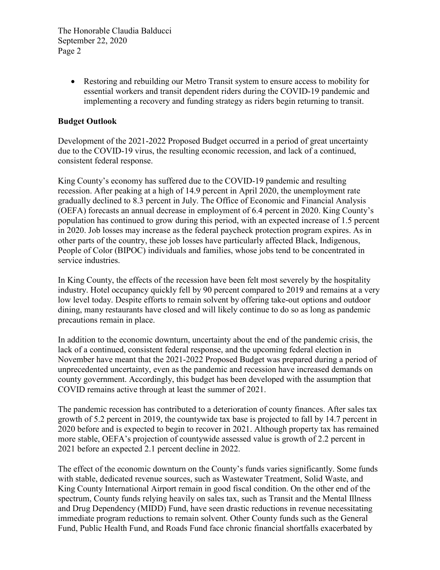> • Restoring and rebuilding our Metro Transit system to ensure access to mobility for essential workers and transit dependent riders during the COVID-19 pandemic and implementing a recovery and funding strategy as riders begin returning to transit.

#### **Budget Outlook**

Development of the 2021-2022 Proposed Budget occurred in a period of great uncertainty due to the COVID-19 virus, the resulting economic recession, and lack of a continued, consistent federal response.

King County's economy has suffered due to the COVID-19 pandemic and resulting recession. After peaking at a high of 14.9 percent in April 2020, the unemployment rate gradually declined to 8.3 percent in July. The Office of Economic and Financial Analysis (OEFA) forecasts an annual decrease in employment of 6.4 percent in 2020. King County's population has continued to grow during this period, with an expected increase of 1.5 percent in 2020. Job losses may increase as the federal paycheck protection program expires. As in other parts of the country, these job losses have particularly affected Black, Indigenous, People of Color (BIPOC) individuals and families, whose jobs tend to be concentrated in service industries.

In King County, the effects of the recession have been felt most severely by the hospitality industry. Hotel occupancy quickly fell by 90 percent compared to 2019 and remains at a very low level today. Despite efforts to remain solvent by offering take-out options and outdoor dining, many restaurants have closed and will likely continue to do so as long as pandemic precautions remain in place.

In addition to the economic downturn, uncertainty about the end of the pandemic crisis, the lack of a continued, consistent federal response, and the upcoming federal election in November have meant that the 2021-2022 Proposed Budget was prepared during a period of unprecedented uncertainty, even as the pandemic and recession have increased demands on county government. Accordingly, this budget has been developed with the assumption that COVID remains active through at least the summer of 2021.

The pandemic recession has contributed to a deterioration of county finances. After sales tax growth of 5.2 percent in 2019, the countywide tax base is projected to fall by 14.7 percent in 2020 before and is expected to begin to recover in 2021. Although property tax has remained more stable, OEFA's projection of countywide assessed value is growth of 2.2 percent in 2021 before an expected 2.1 percent decline in 2022.

The effect of the economic downturn on the County's funds varies significantly. Some funds with stable, dedicated revenue sources, such as Wastewater Treatment, Solid Waste, and King County International Airport remain in good fiscal condition. On the other end of the spectrum, County funds relying heavily on sales tax, such as Transit and the Mental Illness and Drug Dependency (MIDD) Fund, have seen drastic reductions in revenue necessitating immediate program reductions to remain solvent. Other County funds such as the General Fund, Public Health Fund, and Roads Fund face chronic financial shortfalls exacerbated by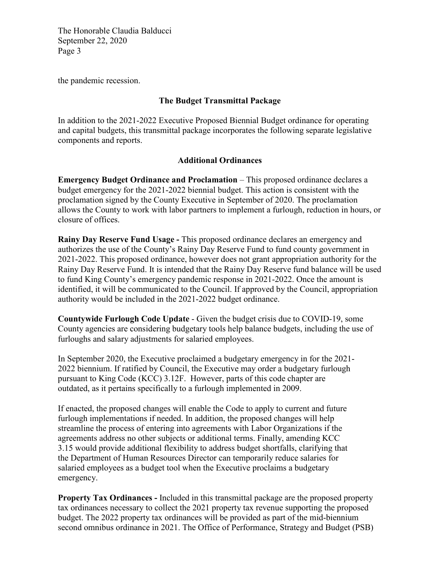the pandemic recession.

# **The Budget Transmittal Package**

In addition to the 2021-2022 Executive Proposed Biennial Budget ordinance for operating and capital budgets, this transmittal package incorporates the following separate legislative components and reports.

#### **Additional Ordinances**

**Emergency Budget Ordinance and Proclamation** – This proposed ordinance declares a budget emergency for the 2021-2022 biennial budget. This action is consistent with the proclamation signed by the County Executive in September of 2020. The proclamation allows the County to work with labor partners to implement a furlough, reduction in hours, or closure of offices.

**Rainy Day Reserve Fund Usage -** This proposed ordinance declares an emergency and authorizes the use of the County's Rainy Day Reserve Fund to fund county government in 2021-2022. This proposed ordinance, however does not grant appropriation authority for the Rainy Day Reserve Fund. It is intended that the Rainy Day Reserve fund balance will be used to fund King County's emergency pandemic response in 2021-2022. Once the amount is identified, it will be communicated to the Council. If approved by the Council, appropriation authority would be included in the 2021-2022 budget ordinance.

**Countywide Furlough Code Update** - Given the budget crisis due to COVID-19, some County agencies are considering budgetary tools help balance budgets, including the use of furloughs and salary adjustments for salaried employees.

In September 2020, the Executive proclaimed a budgetary emergency in for the 2021- 2022 biennium. If ratified by Council, the Executive may order a budgetary furlough pursuant to King Code (KCC) 3.12F. However, parts of this code chapter are outdated, as it pertains specifically to a furlough implemented in 2009.

If enacted, the proposed changes will enable the Code to apply to current and future furlough implementations if needed. In addition, the proposed changes will help streamline the process of entering into agreements with Labor Organizations if the agreements address no other subjects or additional terms. Finally, amending KCC 3.15 would provide additional flexibility to address budget shortfalls, clarifying that the Department of Human Resources Director can temporarily reduce salaries for salaried employees as a budget tool when the Executive proclaims a budgetary emergency.

**Property Tax Ordinances -** Included in this transmittal package are the proposed property tax ordinances necessary to collect the 2021 property tax revenue supporting the proposed budget. The 2022 property tax ordinances will be provided as part of the mid-biennium second omnibus ordinance in 2021. The Office of Performance, Strategy and Budget (PSB)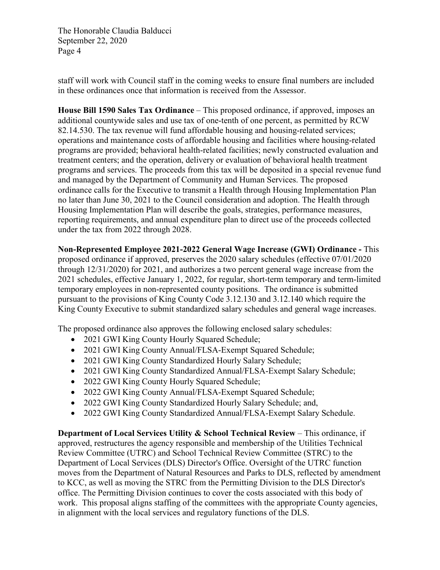staff will work with Council staff in the coming weeks to ensure final numbers are included in these ordinances once that information is received from the Assessor.

**House Bill 1590 Sales Tax Ordinance** – This proposed ordinance, if approved, imposes an additional countywide sales and use tax of one-tenth of one percent, as permitted by RCW 82.14.530. The tax revenue will fund affordable housing and housing-related services; operations and maintenance costs of affordable housing and facilities where housing-related programs are provided; behavioral health-related facilities; newly constructed evaluation and treatment centers; and the operation, delivery or evaluation of behavioral health treatment programs and services. The proceeds from this tax will be deposited in a special revenue fund and managed by the Department of Community and Human Services. The proposed ordinance calls for the Executive to transmit a Health through Housing Implementation Plan no later than June 30, 2021 to the Council consideration and adoption. The Health through Housing Implementation Plan will describe the goals, strategies, performance measures, reporting requirements, and annual expenditure plan to direct use of the proceeds collected under the tax from 2022 through 2028.

**Non-Represented Employee 2021-2022 General Wage Increase (GWI) Ordinance -** This proposed ordinance if approved, preserves the 2020 salary schedules (effective 07/01/2020 through 12/31/2020) for 2021, and authorizes a two percent general wage increase from the 2021 schedules, effective January 1, 2022, for regular, short-term temporary and term-limited temporary employees in non-represented county positions. The ordinance is submitted pursuant to the provisions of King County Code 3.12.130 and 3.12.140 which require the King County Executive to submit standardized salary schedules and general wage increases.

The proposed ordinance also approves the following enclosed salary schedules:

- 2021 GWI King County Hourly Squared Schedule;
- 2021 GWI King County Annual/FLSA-Exempt Squared Schedule;
- 2021 GWI King County Standardized Hourly Salary Schedule;
- 2021 GWI King County Standardized Annual/FLSA-Exempt Salary Schedule;
- 2022 GWI King County Hourly Squared Schedule;
- 2022 GWI King County Annual/FLSA-Exempt Squared Schedule;
- 2022 GWI King County Standardized Hourly Salary Schedule; and,
- 2022 GWI King County Standardized Annual/FLSA-Exempt Salary Schedule.

**Department of Local Services Utility & School Technical Review** – This ordinance, if approved, restructures the agency responsible and membership of the Utilities Technical Review Committee (UTRC) and School Technical Review Committee (STRC) to the Department of Local Services (DLS) Director's Office. Oversight of the UTRC function moves from the Department of Natural Resources and Parks to DLS, reflected by amendment to KCC, as well as moving the STRC from the Permitting Division to the DLS Director's office. The Permitting Division continues to cover the costs associated with this body of work. This proposal aligns staffing of the committees with the appropriate County agencies, in alignment with the local services and regulatory functions of the DLS.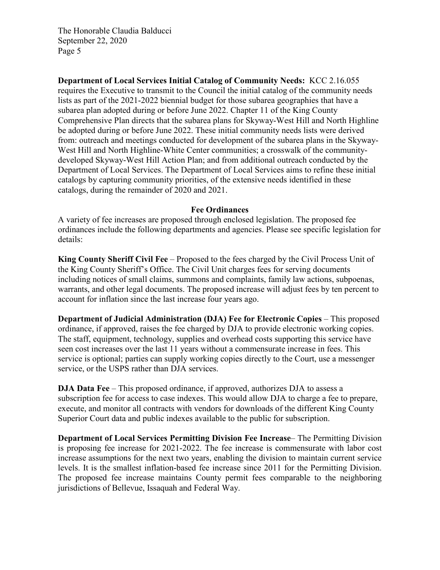**Department of Local Services Initial Catalog of Community Needs:** KCC 2.16.055 requires the Executive to transmit to the Council the initial catalog of the community needs lists as part of the 2021-2022 biennial budget for those subarea geographies that have a subarea plan adopted during or before June 2022. Chapter 11 of the King County Comprehensive Plan directs that the subarea plans for Skyway-West Hill and North Highline be adopted during or before June 2022. These initial community needs lists were derived from: outreach and meetings conducted for development of the subarea plans in the Skyway-West Hill and North Highline-White Center communities; a crosswalk of the communitydeveloped Skyway-West Hill Action Plan; and from additional outreach conducted by the Department of Local Services. The Department of Local Services aims to refine these initial catalogs by capturing community priorities, of the extensive needs identified in these catalogs, during the remainder of 2020 and 2021.

#### **Fee Ordinances**

A variety of fee increases are proposed through enclosed legislation. The proposed fee ordinances include the following departments and agencies. Please see specific legislation for details:

**King County Sheriff Civil Fee** – Proposed to the fees charged by the Civil Process Unit of the King County Sheriff's Office. The Civil Unit charges fees for serving documents including notices of small claims, summons and complaints, family law actions, subpoenas, warrants, and other legal documents. The proposed increase will adjust fees by ten percent to account for inflation since the last increase four years ago.

**Department of Judicial Administration (DJA) Fee for Electronic Copies** – This proposed ordinance, if approved, raises the fee charged by DJA to provide electronic working copies. The staff, equipment, technology, supplies and overhead costs supporting this service have seen cost increases over the last 11 years without a commensurate increase in fees. This service is optional; parties can supply working copies directly to the Court, use a messenger service, or the USPS rather than DJA services.

**DJA Data Fee** – This proposed ordinance, if approved, authorizes DJA to assess a subscription fee for access to case indexes. This would allow DJA to charge a fee to prepare, execute, and monitor all contracts with vendors for downloads of the different King County Superior Court data and public indexes available to the public for subscription.

**Department of Local Services Permitting Division Fee Increase**– The Permitting Division is proposing fee increase for 2021-2022. The fee increase is commensurate with labor cost increase assumptions for the next two years, enabling the division to maintain current service levels. It is the smallest inflation-based fee increase since 2011 for the Permitting Division. The proposed fee increase maintains County permit fees comparable to the neighboring jurisdictions of Bellevue, Issaquah and Federal Way.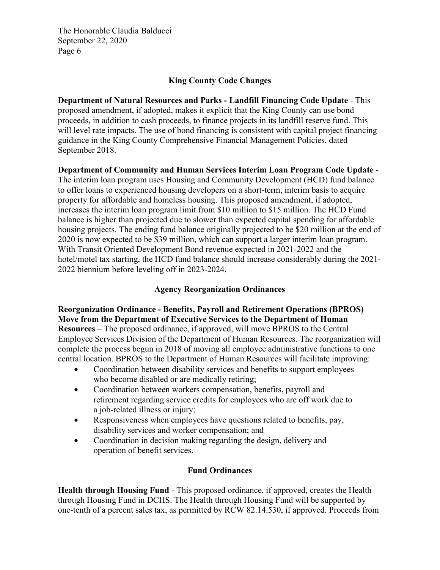## **King County Code Changes**

**Department of Natural Resources and Parks - Landfill Financing Code Update** - This proposed amendment, if adopted, makes it explicit that the King County can use bond proceeds, in addition to cash proceeds, to finance projects in its landfill reserve fund. This will level rate impacts. The use of bond financing is consistent with capital project financing guidance in the King County Comprehensive Financial Management Policies, dated September 2018.

**Department of Community and Human Services Interim Loan Program Code Update** - The interim loan program uses Housing and Community Development (HCD) fund balance to offer loans to experienced housing developers on a short-term, interim basis to acquire property for affordable and homeless housing. This proposed amendment, if adopted, increases the interim loan program limit from \$10 million to \$15 million. The HCD Fund balance is higher than projected due to slower than expected capital spending for affordable housing projects. The ending fund balance originally projected to be \$20 million at the end of 2020 is now expected to be \$39 million, which can support a larger interim loan program. With Transit Oriented Development Bond revenue expected in 2021-2022 and the hotel/motel tax starting, the HCD fund balance should increase considerably during the 2021- 2022 biennium before leveling off in 2023-2024.

# **Agency Reorganization Ordinances**

# **Reorganization Ordinance - Benefits, Payroll and Retirement Operations (BPROS) Move from the Department of Executive Services to the Department of Human**

**Resources** – The proposed ordinance, if approved, will move BPROS to the Central Employee Services Division of the Department of Human Resources. The reorganization will complete the process begun in 2018 of moving all employee administrative functions to one central location. BPROS to the Department of Human Resources will facilitate improving:

- Coordination between disability services and benefits to support employees who become disabled or are medically retiring;
- Coordination between workers compensation, benefits, payroll and retirement regarding service credits for employees who are off work due to a job-related illness or injury;
- Responsiveness when employees have questions related to benefits, pay, disability services and worker compensation; and
- Coordination in decision making regarding the design, delivery and operation of benefit services.

## **Fund Ordinances**

**Health through Housing Fund** - This proposed ordinance, if approved, creates the Health through Housing Fund in DCHS. The Health through Housing Fund will be supported by one-tenth of a percent sales tax, as permitted by RCW 82.14.530, if approved. Proceeds from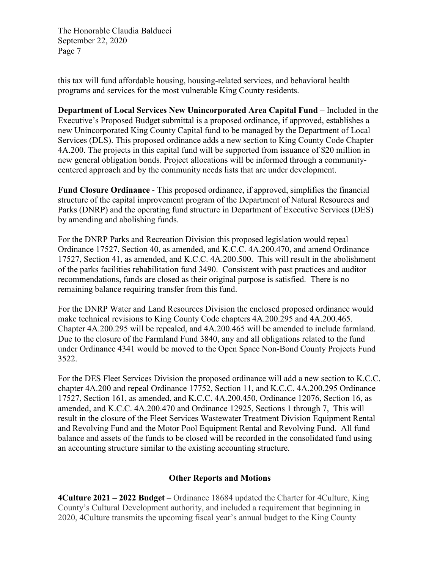this tax will fund affordable housing, housing-related services, and behavioral health programs and services for the most vulnerable King County residents.

**Department of Local Services New Unincorporated Area Capital Fund** – Included in the Executive's Proposed Budget submittal is a proposed ordinance, if approved, establishes a new Unincorporated King County Capital fund to be managed by the Department of Local Services (DLS). This proposed ordinance adds a new section to King County Code Chapter 4A.200. The projects in this capital fund will be supported from issuance of \$20 million in new general obligation bonds. Project allocations will be informed through a communitycentered approach and by the community needs lists that are under development.

**Fund Closure Ordinance** - This proposed ordinance, if approved, simplifies the financial structure of the capital improvement program of the Department of Natural Resources and Parks (DNRP) and the operating fund structure in Department of Executive Services (DES) by amending and abolishing funds.

For the DNRP Parks and Recreation Division this proposed legislation would repeal Ordinance 17527, Section 40, as amended, and K.C.C. 4A.200.470, and amend Ordinance 17527, Section 41, as amended, and K.C.C. 4A.200.500. This will result in the abolishment of the parks facilities rehabilitation fund 3490. Consistent with past practices and auditor recommendations, funds are closed as their original purpose is satisfied. There is no remaining balance requiring transfer from this fund.

For the DNRP Water and Land Resources Division the enclosed proposed ordinance would make technical revisions to King County Code chapters 4A.200.295 and 4A.200.465. Chapter 4A.200.295 will be repealed, and 4A.200.465 will be amended to include farmland. Due to the closure of the Farmland Fund 3840, any and all obligations related to the fund under Ordinance 4341 would be moved to the Open Space Non-Bond County Projects Fund 3522.

For the DES Fleet Services Division the proposed ordinance will add a new section to K.C.C. chapter 4A.200 and repeal Ordinance 17752, Section 11, and K.C.C. 4A.200.295 Ordinance 17527, Section 161, as amended, and K.C.C. 4A.200.450, Ordinance 12076, Section 16, as amended, and K.C.C. 4A.200.470 and Ordinance 12925, Sections 1 through 7, This will result in the closure of the Fleet Services Wastewater Treatment Division Equipment Rental and Revolving Fund and the Motor Pool Equipment Rental and Revolving Fund. All fund balance and assets of the funds to be closed will be recorded in the consolidated fund using an accounting structure similar to the existing accounting structure.

## **Other Reports and Motions**

**4Culture 2021 – 2022 Budget** – Ordinance 18684 updated the Charter for 4Culture, King County's Cultural Development authority, and included a requirement that beginning in 2020, 4Culture transmits the upcoming fiscal year's annual budget to the King County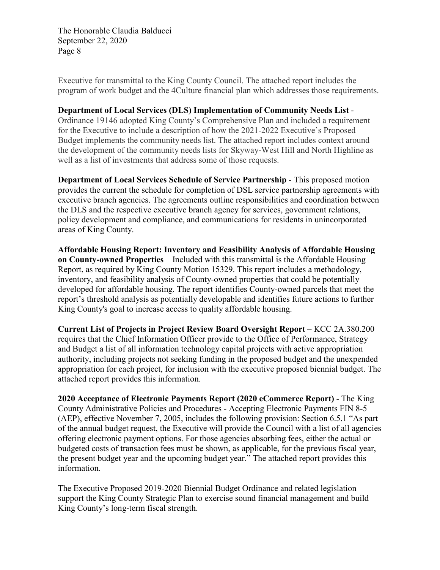Executive for transmittal to the King County Council. The attached report includes the program of work budget and the 4Culture financial plan which addresses those requirements.

#### **Department of Local Services (DLS) Implementation of Community Needs List** -

Ordinance 19146 adopted King County's Comprehensive Plan and included a requirement for the Executive to include a description of how the 2021-2022 Executive's Proposed Budget implements the community needs list. The attached report includes context around the development of the community needs lists for Skyway-West Hill and North Highline as well as a list of investments that address some of those requests.

**Department of Local Services Schedule of Service Partnership** - This proposed motion provides the current the schedule for completion of DSL service partnership agreements with executive branch agencies. The agreements outline responsibilities and coordination between the DLS and the respective executive branch agency for services, government relations, policy development and compliance, and communications for residents in unincorporated areas of King County.

**Affordable Housing Report: Inventory and Feasibility Analysis of Affordable Housing on County-owned Properties** – Included with this transmittal is the Affordable Housing Report, as required by King County Motion 15329. This report includes a methodology, inventory, and feasibility analysis of County-owned properties that could be potentially developed for affordable housing. The report identifies County-owned parcels that meet the report's threshold analysis as potentially developable and identifies future actions to further King County's goal to increase access to quality affordable housing.

**Current List of Projects in Project Review Board Oversight Report** – KCC 2A.380.200 requires that the Chief Information Officer provide to the Office of Performance, Strategy and Budget a list of all information technology capital projects with active appropriation authority, including projects not seeking funding in the proposed budget and the unexpended appropriation for each project, for inclusion with the executive proposed biennial budget. The attached report provides this information.

**2020 Acceptance of Electronic Payments Report (2020 eCommerce Report)** - The King County Administrative Policies and Procedures - Accepting Electronic Payments FIN 8-5 (AEP), effective November 7, 2005, includes the following provision: Section 6.5.1 "As part of the annual budget request, the Executive will provide the Council with a list of all agencies offering electronic payment options. For those agencies absorbing fees, either the actual or budgeted costs of transaction fees must be shown, as applicable, for the previous fiscal year, the present budget year and the upcoming budget year." The attached report provides this information.

The Executive Proposed 2019-2020 Biennial Budget Ordinance and related legislation support the King County Strategic Plan to exercise sound financial management and build King County's long-term fiscal strength.